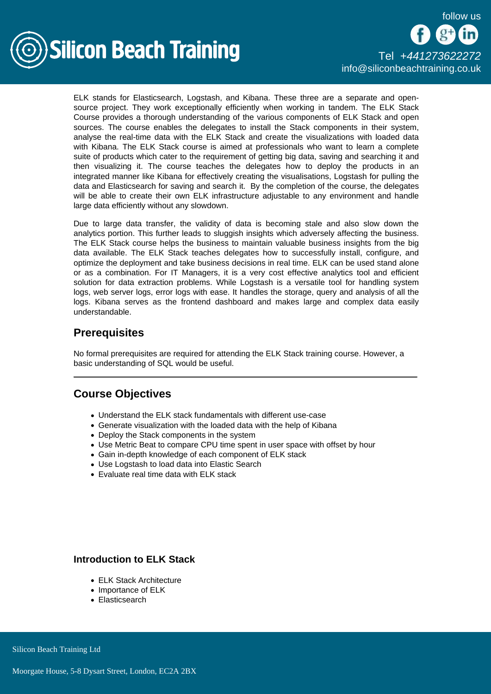

[Tel +44](tel:+441273622272)1273622272 [info@siliconbeachtraining.co.uk](/var/www/html/siliconbeachtraining.co.uk/public/mailTo:info@siliconbeachtraining.co.uk)

ELK stands for Elasticsearch, Logstash, and Kibana. These three are a separate and opensource project. They work exceptionally efficiently when working in tandem. The ELK Stack Course provides a thorough understanding of the various components of ELK Stack and open sources. The course enables the delegates to install the Stack components in their system, analyse the real-time data with the ELK Stack and create the visualizations with loaded data with Kibana. The ELK Stack course is aimed at professionals who want to learn a complete suite of products which cater to the requirement of getting big data, saving and searching it and then visualizing it. The course teaches the delegates how to deploy the products in an integrated manner like Kibana for effectively creating the visualisations, Logstash for pulling the data and Elasticsearch for saving and search it. By the completion of the course, the delegates will be able to create their own ELK infrastructure adjustable to any environment and handle large data efficiently without any slowdown.

Due to large data transfer, the validity of data is becoming stale and also slow down the analytics portion. This further leads to sluggish insights which adversely affecting the business. The ELK Stack course helps the business to maintain valuable business insights from the big data available. The ELK Stack teaches delegates how to successfully install, configure, and optimize the deployment and take business decisions in real time. ELK can be used stand alone or as a combination. For IT Managers, it is a very cost effective analytics tool and efficient solution for data extraction problems. While Logstash is a versatile tool for handling system logs, web server logs, error logs with ease. It handles the storage, query and analysis of all the logs. Kibana serves as the frontend dashboard and makes large and complex data easily understandable.

# **Prerequisites**

No formal prerequisites are required for attending the ELK Stack training course. However, a basic understanding of SQL would be useful.

# Course Objectives

- Understand the ELK stack fundamentals with different use-case
- Generate visualization with the loaded data with the help of Kibana
- Deploy the Stack components in the system
- Use Metric Beat to compare CPU time spent in user space with offset by hour
- Gain in-depth knowledge of each component of ELK stack
- Use Logstash to load data into Elastic Search
- Evaluate real time data with ELK stack

# Introduction to ELK Stack

- ELK Stack Architecture
- Importance of ELK
- Elasticsearch

Silicon Beach Training Ltd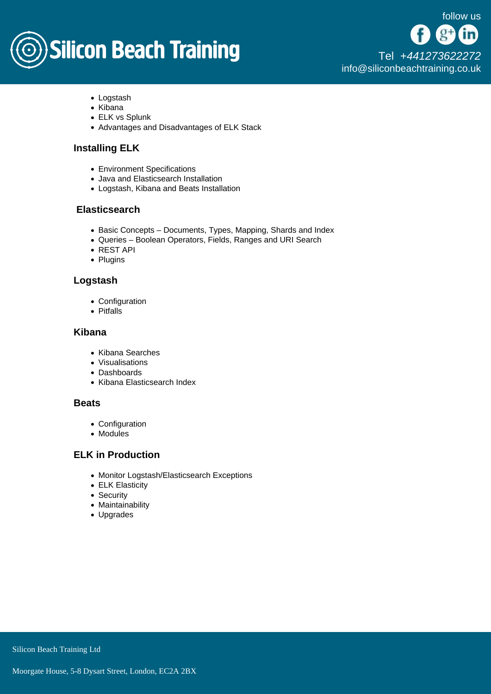# **Silicon Beach Training**

[Tel +44](tel:+441273622272)1273622272 [info@siliconbeachtraining.co.uk](/var/www/html/siliconbeachtraining.co.uk/public/mailTo:info@siliconbeachtraining.co.uk)

- Logstash
- Kibana
- ELK vs Splunk
- Advantages and Disadvantages of ELK Stack

# Installing ELK

- Environment Specifications
- Java and Elasticsearch Installation
- Logstash, Kibana and Beats Installation

#### **Elasticsearch**

- Basic Concepts Documents, Types, Mapping, Shards and Index
- Queries Boolean Operators, Fields, Ranges and URI Search
- REST API
- Plugins

#### Logstash

- Configuration
- Pitfalls

#### Kibana

- Kibana Searches
- Visualisations
- Dashboards
- Kibana Elasticsearch Index

#### **Beats**

- Configuration
- Modules

### ELK in Production

- Monitor Logstash/Elasticsearch Exceptions
- ELK Elasticity
- Security
- Maintainability
- Upgrades